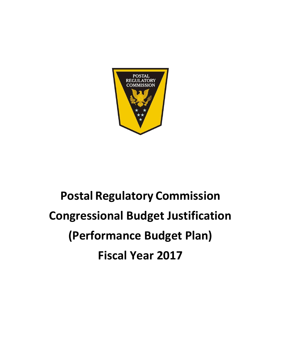

# **Postal Regulatory Commission Congressional Budget Justification (Performance Budget Plan) Fiscal Year 2017**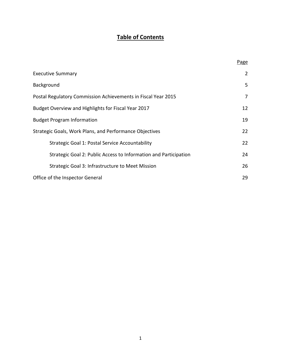# **Table of Contents**

|                                                                  | Page           |
|------------------------------------------------------------------|----------------|
| <b>Executive Summary</b>                                         | $\overline{2}$ |
| Background                                                       | 5              |
| Postal Regulatory Commission Achievements in Fiscal Year 2015    | 7              |
| Budget Overview and Highlights for Fiscal Year 2017              | 12             |
| <b>Budget Program Information</b>                                | 19             |
| Strategic Goals, Work Plans, and Performance Objectives          | 22             |
| Strategic Goal 1: Postal Service Accountability                  | 22             |
| Strategic Goal 2: Public Access to Information and Participation | 24             |
| Strategic Goal 3: Infrastructure to Meet Mission                 | 26             |
| Office of the Inspector General                                  | 29             |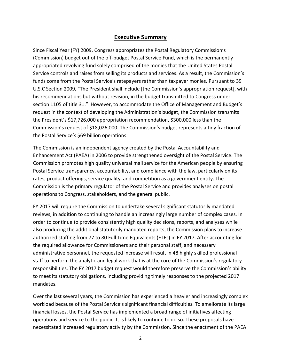#### **Executive Summary**

Since Fiscal Year (FY) 2009, Congress appropriates the Postal Regulatory Commission's (Commission) budget out of the off-budget Postal Service Fund, which is the permanently appropriated revolving fund solely comprised of the monies that the United States Postal Service controls and raises from selling its products and services. As a result, the Commission's funds come from the Postal Service's ratepayers rather than taxpayer monies. Pursuant to 39 U.S.C Section 2009, "The President shall include [the Commission's appropriation request], with his recommendations but without revision, in the budget transmitted to Congress under section 1105 of title 31." However, to accommodate the Office of Management and Budget's request in the context of developing the Administration's budget, the Commission transmits the President's \$17,726,000 appropriation recommendation, \$300,000 less than the Commission's request of \$18,026,000. The Commission's budget represents a tiny fraction of the Postal Service's \$69 billion operations.

The Commission is an independent agency created by the Postal Accountability and Enhancement Act (PAEA) in 2006 to provide strengthened oversight of the Postal Service. The Commission promotes high quality universal mail service for the American people by ensuring Postal Service transparency, accountability, and compliance with the law, particularly on its rates, product offerings, service quality, and competition as a government entity. The Commission is the primary regulator of the Postal Service and provides analyses on postal operations to Congress, stakeholders, and the general public.

FY 2017 will require the Commission to undertake several significant statutorily mandated reviews, in addition to continuing to handle an increasingly large number of complex cases. In order to continue to provide consistently high quality decisions, reports, and analyses while also producing the additional statutorily mandated reports, the Commission plans to increase authorized staffing from 77 to 80 Full Time Equivalents (FTEs) in FY 2017. After accounting for the required allowance for Commissioners and their personal staff, and necessary administrative personnel, the requested increase will result in 48 highly skilled professional staff to perform the analytic and legal work that is at the core of the Commission's regulatory responsibilities. The FY 2017 budget request would therefore preserve the Commission's ability to meet its statutory obligations, including providing timely responses to the projected 2017 mandates.

Over the last several years, the Commission has experienced a heavier and increasingly complex workload because of the Postal Service's significant financial difficulties. To ameliorate its large financial losses, the Postal Service has implemented a broad range of initiatives affecting operations and service to the public. It is likely to continue to do so. These proposals have necessitated increased regulatory activity by the Commission. Since the enactment of the PAEA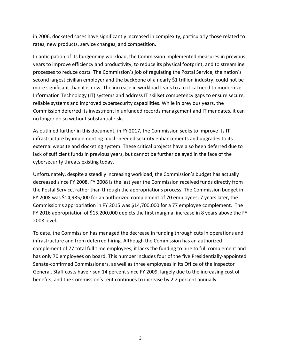in 2006, docketed cases have significantly increased in complexity, particularly those related to rates, new products, service changes, and competition.

In anticipation of its burgeoning workload, the Commission implemented measures in previous years to improve efficiency and productivity, to reduce its physical footprint, and to streamline processes to reduce costs. The Commission's job of regulating the Postal Service, the nation's second largest civilian employer and the backbone of a nearly \$1 trillion industry, could not be more significant than it is now. The increase in workload leads to a critical need to modernize Information Technology (IT) systems and address IT skillset competency gaps to ensure secure, reliable systems and improved cybersecurity capabilities. While in previous years, the Commission deferred its investment in unfunded records management and IT mandates, it can no longer do so without substantial risks.

As outlined further in this document, in FY 2017, the Commission seeks to improve its IT infrastructure by implementing much-needed security enhancements and upgrades to its external website and docketing system. These critical projects have also been deferred due to lack of sufficient funds in previous years, but cannot be further delayed in the face of the cybersecurity threats existing today.

Unfortunately, despite a steadily increasing workload, the Commission's budget has actually decreased since FY 2008. FY 2008 is the last year the Commission received funds directly from the Postal Service, rather than through the appropriations process. The Commission budget in FY 2008 was \$14,985,000 for an authorized complement of 70 employees; 7 years later, the Commission's appropriation in FY 2015 was \$14,700,000 for a 77 employee complement. The FY 2016 appropriation of \$15,200,000 depicts the first marginal increase in 8 years above the FY 2008 level.

To date, the Commission has managed the decrease in funding through cuts in operations and infrastructure and from deferred hiring. Although the Commission has an authorized complement of 77 total full time employees, it lacks the funding to hire to full complement and has only 70 employees on board. This number includes four of the five Presidentially-appointed Senate-confirmed Commissioners, as well as three employees in its Office of the Inspector General. Staff costs have risen 14 percent since FY 2009, largely due to the increasing cost of benefits, and the Commission's rent continues to increase by 2.2 percent annually.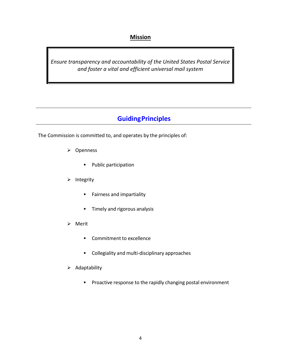## **Mission**

*Ensure transparency and accountability of the United States Postal Service and foster a vital and efficient universal mail system*

# **GuidingPrinciples**

The Commission is committed to, and operates by the principles of:

- **▶** Openness
	- **Public participation**
- $\triangleright$  Integrity
	- **Fairness and impartiality**
	- **Timely and rigorous analysis**
- Merit
	- **Commitment to excellence**
	- **EXECOLLEGIBILITY And multi-disciplinary approaches**
- $\triangleright$  Adaptability
	- **Proactive response to the rapidly changing postal environment**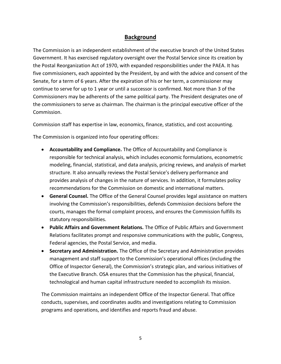### **Background**

The Commission is an independent establishment of the executive branch of the United States Government. It has exercised regulatory oversight over the Postal Service since its creation by the Postal Reorganization Act of 1970, with expanded responsibilities under the PAEA. It has five commissioners, each appointed by the President, by and with the advice and consent of the Senate, for a term of 6 years. After the expiration of his or her term, a commissioner may continue to serve for up to 1 year or until a successor is confirmed. Not more than 3 of the Commissioners may be adherents of the same political party. The President designates one of the commissioners to serve as chairman. The chairman is the principal executive officer of the Commission.

Commission staff has expertise in law, economics, finance, statistics, and cost accounting.

The Commission is organized into four operating offices:

- **Accountability and Compliance.** The Office of Accountability and Compliance is responsible for technical analysis, which includes economic formulations, econometric modeling, financial, statistical, and data analysis, pricing reviews, and analysis of market structure. It also annually reviews the Postal Service's delivery performance and provides analysis of changes in the nature of services. In addition, it formulates policy recommendations for the Commission on domestic and international matters.
- **General Counsel.** The Office of the General Counsel provides legal assistance on matters involving the Commission's responsibilities, defends Commission decisions before the courts, manages the formal complaint process, and ensures the Commission fulfills its statutory responsibilities.
- **Public Affairs and Government Relations.** The Office of Public Affairs and Government Relations facilitates prompt and responsive communications with the public, Congress, Federal agencies, the Postal Service, and media.
- **Secretary and Administration.** The Office of the Secretary and Administration provides management and staff support to the Commission's operational offices (including the Office of Inspector General), the Commission's strategic plan, and various initiatives of the Executive Branch. OSA ensures that the Commission has the physical, financial, technological and human capital infrastructure needed to accomplish its mission.

The Commission maintains an independent Office of the Inspector General. That office conducts, supervises, and coordinates audits and investigations relating to Commission programs and operations, and identifies and reports fraud and abuse.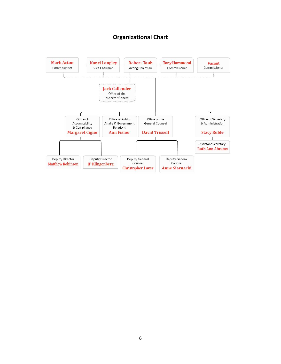## **Organizational Chart**

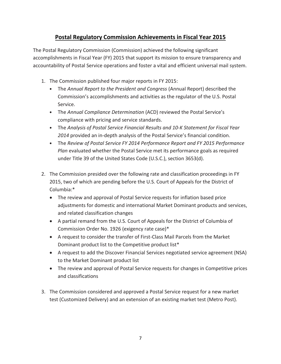## **Postal Regulatory Commission Achievements in Fiscal Year 2015**

The Postal Regulatory Commission (Commission) achieved the following significant accomplishments in Fiscal Year (FY) 2015 that support its mission to ensure transparency and accountability of Postal Service operations and foster a vital and efficient universal mail system.

- 1. The Commission published four major reports in FY 2015:
	- The *Annual Report to the President and Congress* (Annual Report) described the Commission's accomplishments and activities as the regulator of the U.S. Postal Service.
	- The *Annual Compliance Determination* (ACD) reviewed the Postal Service's compliance with pricing and service standards.
	- The *Analysis of Postal Service Financial Results and 10-K Statement for Fiscal Year 2014* provided an in-depth analysis of the Postal Service's financial condition.
	- The *Review of Postal Service FY 2014 Performance Report and FY 2015 Performance Plan* evaluated whether the Postal Service met its performance goals as required under Title 39 of the United States Code (U.S.C.), section 3653(d).
- 2. The Commission presided over the following rate and classification proceedings in FY 2015, two of which are pending before the U.S. Court of Appeals for the District of Columbia:\*
	- The review and approval of Postal Service requests for inflation based price adjustments for domestic and international Market Dominant products and services, and related classification changes
	- A partial remand from the U.S. Court of Appeals for the District of Columbia of Commission Order No. 1926 (exigency rate case)\*
	- A request to consider the transfer of First-Class Mail Parcels from the Market Dominant product list to the Competitive product list\*
	- A request to add the Discover Financial Services negotiated service agreement (NSA) to the Market Dominant product list
	- The review and approval of Postal Service requests for changes in Competitive prices and classifications
- 3. The Commission considered and approved a Postal Service request for a new market test (Customized Delivery) and an extension of an existing market test (Metro Post).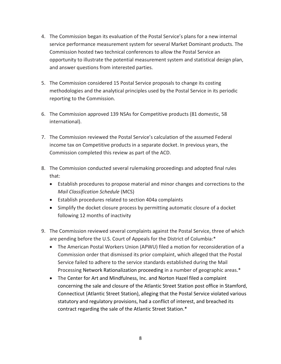- 4. The Commission began its evaluation of the Postal Service's plans for a new internal service performance measurement system for several Market Dominant products. The Commission hosted two technical conferences to allow the Postal Service an opportunity to illustrate the potential measurement system and statistical design plan, and answer questions from interested parties.
- 5. The Commission considered 15 Postal Service proposals to change its costing methodologies and the analytical principles used by the Postal Service in its periodic reporting to the Commission.
- 6. The Commission approved 139 NSAs for Competitive products (81 domestic, 58 international).
- 7. The Commission reviewed the Postal Service's calculation of the assumed Federal income tax on Competitive products in a separate docket. In previous years, the Commission completed this review as part of the ACD.
- 8. The Commission conducted several rulemaking proceedings and adopted final rules that:
	- Establish procedures to propose material and minor changes and corrections to the *Mail Classification Schedule* (MCS)
	- Establish procedures related to section 404a complaints
	- Simplify the docket closure process by permitting automatic closure of a docket following 12 months of inactivity
- 9. The Commission reviewed several complaints against the Postal Service, three of which are pending before the U.S. Court of Appeals for the District of Columbia:\*
	- The American Postal Workers Union (APWU) filed a motion for reconsideration of a Commission order that dismissed its prior complaint, which alleged that the Postal Service failed to adhere to the service standards established during the Mail Processing Network Rationalization proceeding in a number of geographic areas.\*
	- The Center for Art and Mindfulness, Inc. and Norton Hazel filed a complaint concerning the sale and closure of the Atlantic Street Station post office in Stamford, Connecticut (Atlantic Street Station), alleging that the Postal Service violated various statutory and regulatory provisions, had a conflict of interest, and breached its contract regarding the sale of the Atlantic Street Station.\*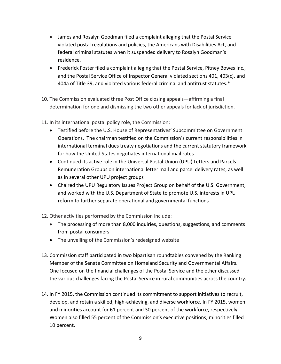- James and Rosalyn Goodman filed a complaint alleging that the Postal Service violated postal regulations and policies, the Americans with Disabilities Act, and federal criminal statutes when it suspended delivery to Rosalyn Goodman's residence.
- Frederick Foster filed a complaint alleging that the Postal Service, Pitney Bowes Inc., and the Postal Service Office of Inspector General violated sections 401, 403(c), and 404a of Title 39, and violated various federal criminal and antitrust statutes.\*
- 10. The Commission evaluated three Post Office closing appeals—affirming a final determination for one and dismissing the two other appeals for lack of jurisdiction.
- 11. In its international postal policy role, the Commission:
	- Testified before the U.S. House of Representatives' Subcommittee on Government Operations. The chairman testified on the Commission's current responsibilities in international terminal dues treaty negotiations and the current statutory framework for how the United States negotiates international mail rates
	- Continued its active role in the Universal Postal Union (UPU) Letters and Parcels Remuneration Groups on international letter mail and parcel delivery rates, as well as in several other UPU project groups
	- Chaired the UPU Regulatory Issues Project Group on behalf of the U.S. Government, and worked with the U.S. Department of State to promote U.S. interests in UPU reform to further separate operational and governmental functions
- 12. Other activities performed by the Commission include:
	- The processing of more than 8,000 inquiries, questions, suggestions, and comments from postal consumers
	- The unveiling of the Commission's redesigned website
- 13. Commission staff participated in two bipartisan roundtables convened by the Ranking Member of the Senate Committee on Homeland Security and Governmental Affairs. One focused on the financial challenges of the Postal Service and the other discussed the various challenges facing the Postal Service in rural communities across the country.
- 14. In FY 2015, the Commission continued its commitment to support initiatives to recruit, develop, and retain a skilled, high-achieving, and diverse workforce. In FY 2015, women and minorities account for 61 percent and 30 percent of the workforce, respectively. Women also filled 55 percent of the Commission's executive positions; minorities filled 10 percent.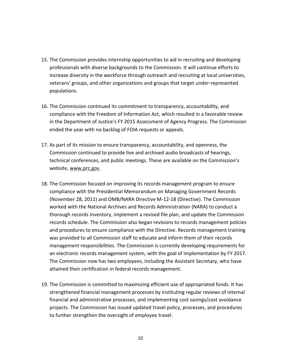- 15. The Commission provides internship opportunities to aid in recruiting and developing professionals with diverse backgrounds to the Commission. It will continue efforts to increase diversity in the workforce through outreach and recruiting at local universities, veterans' groups, and other organizations and groups that target under-represented populations.
- 16. The Commission continued its commitment to transparency, accountability, and compliance with the Freedom of Information Act, which resulted in a favorable review in the Department of Justice's FY 2015 Assessment of Agency Progress. The Commission ended the year with no backlog of FOIA requests or appeals.
- 17. As part of its mission to ensure transparency, accountability, and openness, the Commission continued to provide live and archived audio broadcasts of hearings, technical conferences, and public meetings. These are available on the Commission's website, [www.prc.gov.](http://www.prc.gov/)
- 18. The Commission focused on improving its records management program to ensure compliance with the Presidential Memorandum on Managing Government Records (November 28, 2011) and OMB/NARA Directive M-12-18 (Directive). The Commission worked with the National Archives and Records Administration (NARA) to conduct a thorough records inventory, implement a revised file plan, and update the Commission records schedule. The Commission also began revisions to records management policies and procedures to ensure compliance with the Directive. Records management training was provided to all Commission staff to educate and inform them of their records management responsibilities. The Commission is currently developing requirements for an electronic records management system, with the goal of implementation by FY 2017. The Commission now has two employees, including the Assistant Secretary, who have attained their certification in federal records management.
- 19. The Commission is committed to maximizing efficient use of appropriated funds. It has strengthened financial management processes by instituting regular reviews of internal financial and administrative processes, and implementing cost savings/cost avoidance projects. The Commission has issued updated travel policy, processes, and procedures to further strengthen the oversight of employee travel.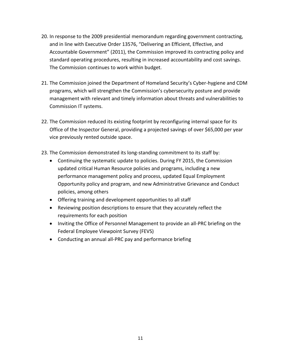- 20. In response to the 2009 presidential memorandum regarding government contracting, and in line with Executive Order 13576, "Delivering an Efficient, Effective, and Accountable Government" (2011), the Commission improved its contracting policy and standard operating procedures, resulting in increased accountability and cost savings. The Commission continues to work within budget.
- 21. The Commission joined the Department of Homeland Security's Cyber-hygiene and CDM programs, which will strengthen the Commission's cybersecurity posture and provide management with relevant and timely information about threats and vulnerabilities to Commission IT systems.
- 22. The Commission reduced its existing footprint by reconfiguring internal space for its Office of the Inspector General, providing a projected savings of over \$65,000 per year vice previously rented outside space.
- 23. The Commission demonstrated its long-standing commitment to its staff by:
	- Continuing the systematic update to policies. During FY 2015, the Commission updated critical Human Resource policies and programs, including a new performance management policy and process, updated Equal Employment Opportunity policy and program, and new Administrative Grievance and Conduct policies, among others
	- Offering training and development opportunities to all staff
	- Reviewing position descriptions to ensure that they accurately reflect the requirements for each position
	- Inviting the Office of Personnel Management to provide an all-PRC briefing on the Federal Employee Viewpoint Survey (FEVS)
	- Conducting an annual all-PRC pay and performance briefing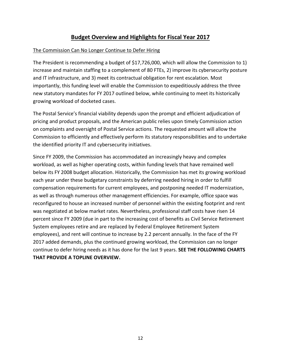## **Budget Overview and Highlights for Fiscal Year 2017**

#### The Commission Can No Longer Continue to Defer Hiring

The President is recommending a budget of \$17,726,000, which will allow the Commission to 1) increase and maintain staffing to a complement of 80 FTEs, 2) improve its cybersecurity posture and IT infrastructure, and 3) meet its contractual obligation for rent escalation. Most importantly, this funding level will enable the Commission to expeditiously address the three new statutory mandates for FY 2017 outlined below, while continuing to meet its historically growing workload of docketed cases.

The Postal Service's financial viability depends upon the prompt and efficient adjudication of pricing and product proposals, and the American public relies upon timely Commission action on complaints and oversight of Postal Service actions. The requested amount will allow the Commission to efficiently and effectively perform its statutory responsibilities and to undertake the identified priority IT and cybersecurity initiatives.

Since FY 2009, the Commission has accommodated an increasingly heavy and complex workload, as well as higher operating costs, within funding levels that have remained well below its FY 2008 budget allocation. Historically, the Commission has met its growing workload each year under these budgetary constraints by deferring needed hiring in order to fulfill compensation requirements for current employees, and postponing needed IT modernization, as well as through numerous other management efficiencies. For example, office space was reconfigured to house an increased number of personnel within the existing footprint and rent was negotiated at below market rates. Nevertheless, professional staff costs have risen 14 percent since FY 2009 (due in part to the increasing cost of benefits as Civil Service Retirement System employees retire and are replaced by Federal Employee Retirement System employees), and rent will continue to increase by 2.2 percent annually. In the face of the FY 2017 added demands, plus the continued growing workload, the Commission can no longer continue to defer hiring needs as it has done for the last 9 years. **SEE THE FOLLOWING CHARTS THAT PROVIDE A TOPLINE OVERVIEW.**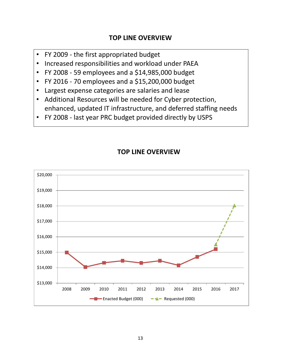## **TOP LINE OVERVIEW**

- FY 2009 the first appropriated budget
- Increased responsibilities and workload under PAEA
- FY 2008 59 employees and a \$14,985,000 budget
- FY 2016 70 employees and a \$15,200,000 budget
- Largest expense categories are salaries and lease
- Additional Resources will be needed for Cyber protection, enhanced, updated IT infrastructure, and deferred staffing needs
- FY 2008 last year PRC budget provided directly by USPS



## **TOP LINE OVERVIEW**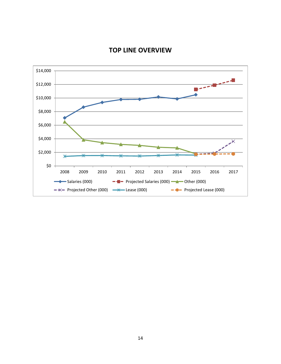

## **TOP LINE OVERVIEW**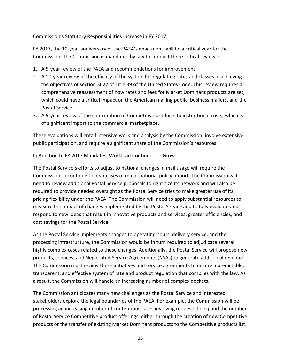#### Commission's Statutory Responsibilities Increase in FY 2017

FY 2017, the 10-year anniversary of the PAEA's enactment, will be a critical year for the Commission. The Commission is mandated by law to conduct three critical reviews:

- 1. A 5-year review of the PAEA and recommendations for improvement.
- 2. A 10-year review of the efficacy of the system for regulating rates and classes in achieving the objectives of section 3622 of Title 39 of the United States Code. This review requires a comprehensive reassessment of how rates and fees for Market Dominant products are set, which could have a critical impact on the American mailing public, business mailers, and the Postal Service.
- 3. A 5-year review of the contribution of Competitive products to institutional costs, which is of significant import to the commercial marketplace.

These evaluations will entail intensive work and analysis by the Commission, involve extensive public participation, and require a significant share of the Commission's resources.

#### In Addition to FY 2017 Mandates, Workload Continues To Grow

The Postal Service's efforts to adjust to national changes in mail usage will require the Commission to continue to hear cases of major national policy import. The Commission will need to review additional Postal Service proposals to right size its network and will also be required to provide needed oversight as the Postal Service tries to make greater use of its pricing flexibility under the PAEA. The Commission will need to apply substantial resources to measure the impact of changes implemented by the Postal Service and to fully evaluate and respond to new ideas that result in innovative products and services, greater efficiencies, and cost savings for the Postal Service.

As the Postal Service implements changes to operating hours, delivery service, and the processing infrastructure, the Commission would be in turn required to adjudicate several highly complex cases related to these changes. Additionally, the Postal Service will propose new products, services, and Negotiated Service Agreements (NSAs) to generate additional revenue. The Commission must review these initiatives and service agreements to ensure a predictable, transparent, and effective system of rate and product regulation that complies with the law. As a result, the Commission will handle an increasing number of complex dockets.

The Commission anticipates many new challenges as the Postal Service and interested stakeholders explore the legal boundaries of the PAEA. For example, the Commission will be processing an increasing number of contentious cases involving requests to expand the number of Postal Service Competitive product offerings, either through the creation of new Competitive products or the transfer of existing Market Dominant products to the Competitive products list.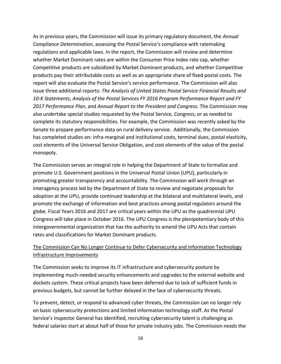As in previous years, the Commission will issue its primary regulatory document, the *Annual Compliance Determination*, assessing the Postal Service's compliance with ratemaking regulations and applicable laws. In the report, the Commission will review and determine whether Market Dominant rates are within the Consumer Price Index rate cap, whether Competitive products are subsidized by Market Dominant products, and whether Competitive products pay their attributable costs as well as an appropriate share of fixed postal costs. The report will also evaluate the Postal Service's service performance. The Commission will also issue three additional reports: *The Analysis of United States Postal Service Financial Results and 10-K Statements*, *Analysis of the Postal Services FY 2016 Program Performance Report and FY 2017 Performance Plan*, and *Annual Report to the President and Congress*. The Commission may also undertake special studies requested by the Postal Service, Congress, or as needed to complete its statutory responsibilities. For example, the Commission was recently asked by the Senate to prepare performance data on rural delivery service. Additionally, the Commission has completed studies on: infra-marginal and institutional costs, terminal dues, postal elasticity, cost elements of the Universal Service Obligation, and cost elements of the value of the postal monopoly.

The Commission serves an integral role in helping the Department of State to formalize and promote U.S. Government positions in the Universal Postal Union (UPU), particularly in promoting greater transparency and accountability. The Commission will work through an interagency process led by the Department of State to review and negotiate proposals for adoption at the UPU, provide continued leadership at the bilateral and multilateral levels, and promote the exchange of information and best practices among postal regulators around the globe. Fiscal Years 2016 and 2017 are critical years within the UPU as the quadrennial UPU Congress will take place in October 2016. The UPU Congress is the plenipotentiary body of this intergovernmental organization that has the authority to amend the UPU Acts that contain rates and classifications for Market Dominant products.

#### The Commission Can No Longer Continue to Defer Cybersecurity and Information Technology Infrastructure Improvements

The Commission seeks to improve its IT infrastructure and cybersecurity posture by implementing much-needed security enhancements and upgrades to the external website and dockets system. These critical projects have been deferred due to lack of sufficient funds in previous budgets, but cannot be further delayed in the face of cybersecurity threats.

To prevent, detect, or respond to advanced cyber threats, the Commission can no longer rely on basic cybersecurity protections and limited information technology staff. As the Postal Service's Inspector General has identified, recruiting cybersecurity talent is challenging as federal salaries start at about half of those for private industry jobs. The Commission needs the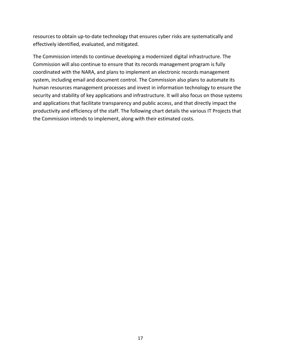resources to obtain up-to-date technology that ensures cyber risks are systematically and effectively identified, evaluated, and mitigated.

The Commission intends to continue developing a modernized digital infrastructure. The Commission will also continue to ensure that its records management program is fully coordinated with the NARA, and plans to implement an electronic records management system, including email and document control. The Commission also plans to automate its human resources management processes and invest in information technology to ensure the security and stability of key applications and infrastructure. It will also focus on those systems and applications that facilitate transparency and public access, and that directly impact the productivity and efficiency of the staff. The following chart details the various IT Projects that the Commission intends to implement, along with their estimated costs.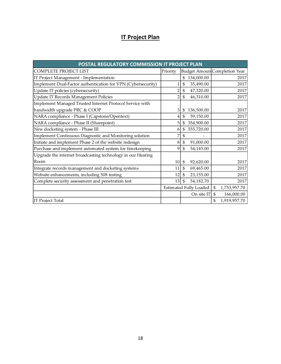# **IT Project Plan**

| POSTAL REGULATORY COMMISSION IT PROJECT PLAN                 |                               |                |            |              |                              |  |
|--------------------------------------------------------------|-------------------------------|----------------|------------|--------------|------------------------------|--|
| COMPLETE PROJECT LIST                                        | Priority                      |                |            |              | Budget Amoun Completion Year |  |
| IT Project Management - Implementation                       |                               | \$             | 134,000.00 |              | 2017                         |  |
| Implement Dual-Factor authentication for VPN (Cybersecurity) | 1                             | \$             | 35,490.00  |              | 2017                         |  |
| Update IT policies (cybersecurity)                           | $\overline{\mathbf{c}}$       | $\mathfrak{S}$ | 47,320.00  |              | 2017                         |  |
| Update IT Records Management Policies                        | $\overline{2}$                | \$             | 46,310.00  |              | 2017                         |  |
| Implement Managed Trusted Internet Protocol Service with     |                               |                |            |              |                              |  |
| bandwidth upgrade PRC & COOP                                 | 3                             | \$             | 136,500.00 |              | 2017                         |  |
| NARA compliance - Phase I (Capstone/Opentext)                | 4                             | \$             | 59,150.00  |              | 2017                         |  |
| NARA compliance - Phase II (Sharepoint)                      | 5                             | \$             | 354,900.00 |              | 2017                         |  |
| New docketing system - Phase III                             | 6                             | \$             | 555,720.00 |              | 2017                         |  |
| Implement Continuous Diagnostic and Monitoring solution      | 7                             | \$             |            |              | 2017                         |  |
| Initiate and implement Phase 2 of the website redesign       | 8                             | \$             | 91,000.00  |              | 2017                         |  |
| Purchase and implement automated system for timekeeping      | 9                             | \$             | 54,145.00  |              | 2017                         |  |
| Upgrade the internet broadcasting technology in our Hearing  |                               |                |            |              |                              |  |
| Room                                                         | 10                            | $\mathfrak{S}$ | 92,620.00  |              | 2017                         |  |
| Integrate records management and docketing systems           | 11                            | $\mathfrak{S}$ | 69,465.00  |              | 2017                         |  |
| Website enhancements, including 508 testing                  | 12                            | $\mathfrak{S}$ | 23,155.00  |              | 2017                         |  |
| Complete security assessment and penetration test            | 13                            | $\mathfrak{L}$ | 54,182.70  |              | 2017                         |  |
|                                                              | <b>Estimated Fully Loaded</b> |                | \$         | 1,753,957.70 |                              |  |
|                                                              |                               |                | On site IT | \$           | 166,000.00                   |  |
| <b>IT Project Total</b>                                      |                               |                |            | \$           | 1,919,957.70                 |  |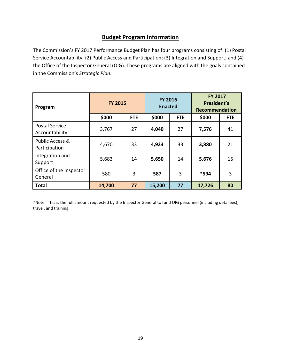## **Budget Program Information**

The Commission's FY 2017 Performance Budget Plan has four programs consisting of: (1) Postal Service Accountability; (2) Public Access and Participation; (3) Integration and Support; and (4) the Office of the Inspector General (OIG). These programs are aligned with the goals contained in the Commission's *Strategic Plan*.

| Program                                     | <b>FY 2015</b> |            | <b>FY 2016</b><br><b>Enacted</b> |            |        |            | <b>FY 2017</b><br>President's<br><b>Recommendation</b> |  |  |
|---------------------------------------------|----------------|------------|----------------------------------|------------|--------|------------|--------------------------------------------------------|--|--|
|                                             | \$000          | <b>FTE</b> | \$000                            | <b>FTE</b> | \$000  | <b>FTE</b> |                                                        |  |  |
| <b>Postal Service</b><br>Accountability     | 3,767          | 27         | 4,040                            | 27         | 7,576  | 41         |                                                        |  |  |
| <b>Public Access &amp;</b><br>Participation | 4,670          | 33         | 4,923                            | 33         | 3,880  | 21         |                                                        |  |  |
| Integration and<br>Support                  | 5,683          | 14         | 5,650                            | 14         | 5,676  | 15         |                                                        |  |  |
| Office of the Inspector<br>General          | 580            | 3          | 587                              | 3          | *594   | 3          |                                                        |  |  |
| <b>Total</b>                                | 14,700         | 77         | 15,200                           | 77         | 17,726 | 80         |                                                        |  |  |

\*Note: This is the full amount requested by the Inspector General to fund OIG personnel (including detailees), travel, and training.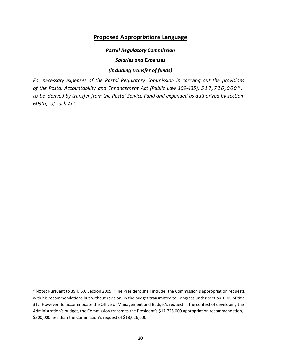#### **Proposed Appropriations Language**

#### *Postal Regulatory Commission*

*Salaries and Expenses*

#### *(including transfer of funds)*

*For necessary expenses of the Postal Regulatory Commission in carrying out the provisions of the Postal Accountability and Enhancement Act (Public Law 109‐435), \$ 1 7 , 7 2 6 , 0 0 0 \* , to be derived by transfer from the Postal Service Fund and expended as authorized by section 603(a) of such Act.*

<sup>\*</sup>Note: Pursuant to 39 U.S.C Section 2009, "The President shall include [the Commission's appropriation request], with his recommendations but without revision, in the budget transmitted to Congress under section 1105 of title 31." However, to accommodate the Office of Management and Budget's request in the context of developing the Administration's budget, the Commission transmits the President's \$17,726,000 appropriation recommendation, \$300,000 less than the Commission's request of \$18,026,000.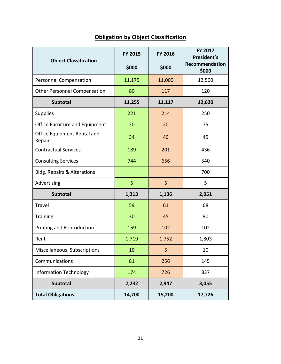| <b>Object Classification</b>           | FY 2015<br>\$000 | FY 2016<br>\$000 | FY 2017<br>President's<br>Recommendation<br>\$000 |
|----------------------------------------|------------------|------------------|---------------------------------------------------|
| Personnel Compensation                 | 11,175           | 11,000           | 12,500                                            |
| <b>Other Personnel Compensation</b>    | 80               | 117              | 120                                               |
| Subtotal                               | 11,255           | 11,117           | 12,620                                            |
| <b>Supplies</b>                        | 221              | 214              | 250                                               |
| Office Furniture and Equipment         | 20               | 20               | 75                                                |
| Office Equipment Rental and<br>Repair  | 34               | 40               | 45                                                |
| <b>Contractual Services</b>            | 189              | 201              | 436                                               |
| <b>Consulting Services</b>             | 744              | 656              | 540                                               |
| <b>Bldg. Repairs &amp; Alterations</b> |                  |                  | 700                                               |
| Advertising                            | 5                | 5                | 5                                                 |
| <b>Subtotal</b>                        | 1,213            | 1,136            | 2,051                                             |
| Travel                                 | 59               | 61               | 68                                                |
| <b>Training</b>                        | 30               | 45               | 90                                                |
| Printing and Reproduction              | 159              | 102              | 102                                               |
| Rent                                   | 1,719            | 1,752            | 1,803                                             |
| Miscellaneous, Subscriptions           | 10               | 5                | 10                                                |
| Communications                         | 81               | 256              | 145                                               |
| <b>Information Technology</b>          | 174              | 726              | 837                                               |
| Subtotal                               | 2,232            | 2,947            | 3,055                                             |
| <b>Total Obligations</b>               | 14,700           | 15,200           | 17,726                                            |

# **Obligation by Object Classification**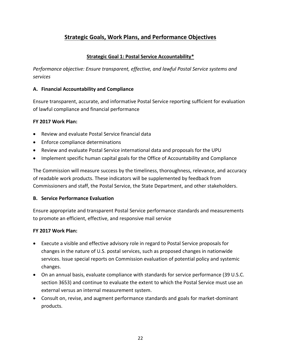## **Strategic Goals, Work Plans, and Performance Objectives**

#### **Strategic Goal 1: Postal Service Accountability\***

*Performance objective: Ensure transparent, effective, and lawful Postal Service systems and services*

#### **A. Financial Accountability and Compliance**

Ensure transparent, accurate, and informative Postal Service reporting sufficient for evaluation of lawful compliance and financial performance

#### **FY 2017 Work Plan:**

- Review and evaluate Postal Service financial data
- Enforce compliance determinations
- Review and evaluate Postal Service international data and proposals for the UPU
- Implement specific human capital goals for the Office of Accountability and Compliance

The Commission will measure success by the timeliness, thoroughness, relevance, and accuracy of readable work products. These indicators will be supplemented by feedback from Commissioners and staff, the Postal Service, the State Department, and other stakeholders.

#### **B. Service Performance Evaluation**

Ensure appropriate and transparent Postal Service performance standards and measurements to promote an efficient, effective, and responsive mail service

#### **FY 2017 Work Plan:**

- Execute a visible and effective advisory role in regard to Postal Service proposals for changes in the nature of U.S. postal services, such as proposed changes in nationwide services. Issue special reports on Commission evaluation of potential policy and systemic changes.
- On an annual basis, evaluate compliance with standards for service performance (39 U.S.C. section 3653) and continue to evaluate the extent to which the Postal Service must use an external versus an internal measurement system.
- Consult on, revise, and augment performance standards and goals for market-dominant products.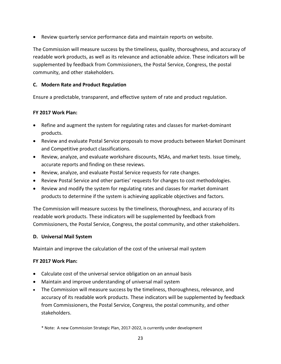Review quarterly service performance data and maintain reports on website.

The Commission will measure success by the timeliness, quality, thoroughness, and accuracy of readable work products, as well as its relevance and actionable advice. These indicators will be supplemented by feedback from Commissioners, the Postal Service, Congress, the postal community, and other stakeholders.

#### **C. Modern Rate and Product Regulation**

Ensure a predictable, transparent, and effective system of rate and product regulation.

#### **FY 2017 Work Plan:**

- Refine and augment the system for regulating rates and classes for market-dominant products.
- Review and evaluate Postal Service proposals to move products between Market Dominant and Competitive product classifications.
- Review, analyze, and evaluate workshare discounts, NSAs, and market tests. Issue timely, accurate reports and finding on these reviews.
- Review, analyze, and evaluate Postal Service requests for rate changes.
- Review Postal Service and other parties' requests for changes to cost methodologies.
- Review and modify the system for regulating rates and classes for market dominant products to determine if the system is achieving applicable objectives and factors.

The Commission will measure success by the timeliness, thoroughness, and accuracy of its readable work products. These indicators will be supplemented by feedback from Commissioners, the Postal Service, Congress, the postal community, and other stakeholders.

#### **D. Universal Mail System**

Maintain and improve the calculation of the cost of the universal mail system

#### **FY 2017 Work Plan:**

- Calculate cost of the universal service obligation on an annual basis
- Maintain and improve understanding of universal mail system
- The Commission will measure success by the timeliness, thoroughness, relevance, and accuracy of its readable work products. These indicators will be supplemented by feedback from Commissioners, the Postal Service, Congress, the postal community, and other stakeholders.

\* Note: A new Commission Strategic Plan, 2017-2022, is currently under development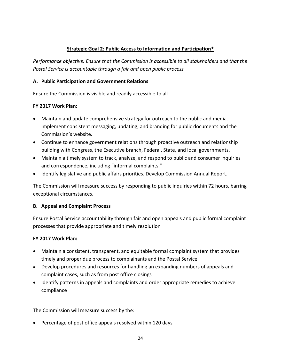#### **Strategic Goal 2: Public Access to Information and Participation\***

*Performance objective: Ensure that the Commission is accessible to all stakeholders and that the Postal Service is accountable through a fair and open public process*

#### **A. Public Participation and Government Relations**

Ensure the Commission is visible and readily accessible to all

#### **FY 2017 Work Plan:**

- Maintain and update comprehensive strategy for outreach to the public and media. Implement consistent messaging, updating, and branding for public documents and the Commission's website.
- Continue to enhance government relations through proactive outreach and relationship building with Congress, the Executive branch, Federal, State, and local governments.
- Maintain a timely system to track, analyze, and respond to public and consumer inquiries and correspondence, including "informal complaints."
- Identify legislative and public affairs priorities. Develop Commission Annual Report.

The Commission will measure success by responding to public inquiries within 72 hours, barring exceptional circumstances.

#### **B. Appeal and Complaint Process**

Ensure Postal Service accountability through fair and open appeals and public formal complaint processes that provide appropriate and timely resolution

#### **FY 2017 Work Plan:**

- Maintain a consistent, transparent, and equitable formal complaint system that provides timely and proper due process to complainants and the Postal Service
- Develop procedures and resources for handling an expanding numbers of appeals and complaint cases, such as from post office closings
- Identify patterns in appeals and complaints and order appropriate remedies to achieve compliance

The Commission will measure success by the:

• Percentage of post office appeals resolved within 120 days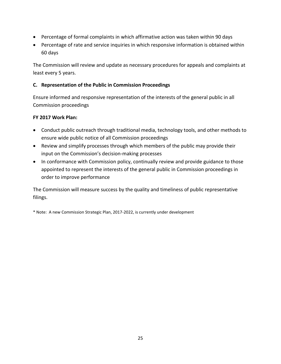- Percentage of formal complaints in which affirmative action was taken within 90 days
- Percentage of rate and service inquiries in which responsive information is obtained within 60 days

The Commission will review and update as necessary procedures for appeals and complaints at least every 5 years.

#### **C. Representation of the Public in Commission Proceedings**

Ensure informed and responsive representation of the interests of the general public in all Commission proceedings

#### **FY 2017 Work Plan:**

- Conduct public outreach through traditional media, technology tools, and other methods to ensure wide public notice of all Commission proceedings
- Review and simplify processes through which members of the public may provide their input on the Commission's decision-making processes
- In conformance with Commission policy, continually review and provide guidance to those appointed to represent the interests of the general public in Commission proceedings in order to improve performance

The Commission will measure success by the quality and timeliness of public representative filings.

\* Note: A new Commission Strategic Plan, 2017-2022, is currently under development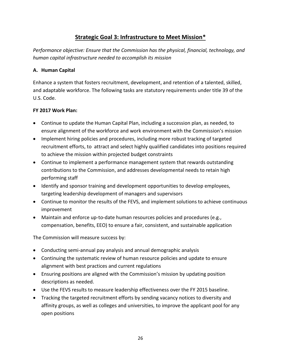## **Strategic Goal 3: Infrastructure to Meet Mission\***

*Performance objective: Ensure that the Commission has the physical, financial, technology, and human capital infrastructure needed to accomplish its mission*

#### **A. Human Capital**

Enhance a system that fosters recruitment, development, and retention of a talented, skilled, and adaptable workforce. The following tasks are statutory requirements under title 39 of the U.S. Code.

#### **FY 2017 Work Plan:**

- Continue to update the Human Capital Plan, including a succession plan, as needed, to ensure alignment of the workforce and work environment with the Commission's mission
- Implement hiring policies and procedures, including more robust tracking of targeted recruitment efforts, to attract and select highly qualified candidates into positions required to achieve the mission within projected budget constraints
- Continue to implement a performance management system that rewards outstanding contributions to the Commission, and addresses developmental needs to retain high performing staff
- Identify and sponsor training and development opportunities to develop employees, targeting leadership development of managers and supervisors
- Continue to monitor the results of the FEVS, and implement solutions to achieve continuous improvement
- Maintain and enforce up-to-date human resources policies and procedures (e.g., compensation, benefits, EEO) to ensure a fair, consistent, and sustainable application

The Commission will measure success by:

- Conducting semi-annual pay analysis and annual demographic analysis
- Continuing the systematic review of human resource policies and update to ensure alignment with best practices and current regulations
- Ensuring positions are aligned with the Commission's mission by updating position descriptions as needed.
- Use the FEVS results to measure leadership effectiveness over the FY 2015 baseline.
- Tracking the targeted recruitment efforts by sending vacancy notices to diversity and affinity groups, as well as colleges and universities, to improve the applicant pool for any open positions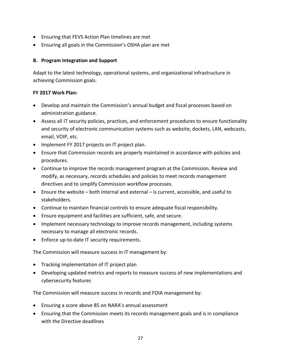- Ensuring that FEVS Action Plan timelines are met
- Ensuring all goals in the Commission's OSHA plan are met

#### **B. Program Integration and Support**

Adapt to the latest technology, operational systems, and organizational infrastructure in achieving Commission goals.

#### **FY 2017 Work Plan:**

- Develop and maintain the Commission's annual budget and fiscal processes based on administration guidance.
- Assess all IT security policies, practices, and enforcement procedures to ensure functionality and security of electronic communication systems such as website, dockets, LAN, webcasts, email, VOIP, etc.
- Implement FY 2017 projects on IT project plan.
- Ensure that Commission records are properly maintained in accordance with policies and procedures.
- Continue to improve the records management program at the Commission. Review and modify, as necessary, records schedules and policies to meet records management directives and to simplify Commission workflow processes.
- Ensure the website both internal and external is current, accessible, and useful to stakeholders.
- Continue to maintain financial controls to ensure adequate fiscal responsibility.
- Ensure equipment and facilities are sufficient, safe, and secure.
- Implement necessary technology to improve records management, including systems necessary to manage all electronic records.
- Enforce up-to-date IT security requirements.

The Commission will measure success in IT management by:

- Tracking implementation of IT project plan
- Developing updated metrics and reports to measure success of new implementations and cybersecurity features

The Commission will measure success in records and FOIA management by:

- Ensuring a score above 85 on NARA's annual assessment
- Ensuring that the Commission meets its records management goals and is in compliance with the Directive deadlines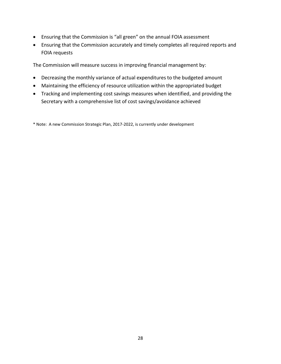- Ensuring that the Commission is "all green" on the annual FOIA assessment
- Ensuring that the Commission accurately and timely completes all required reports and FOIA requests

The Commission will measure success in improving financial management by:

- Decreasing the monthly variance of actual expenditures to the budgeted amount
- Maintaining the efficiency of resource utilization within the appropriated budget
- Tracking and implementing cost savings measures when identified, and providing the Secretary with a comprehensive list of cost savings/avoidance achieved

\* Note: A new Commission Strategic Plan, 2017-2022, is currently under development